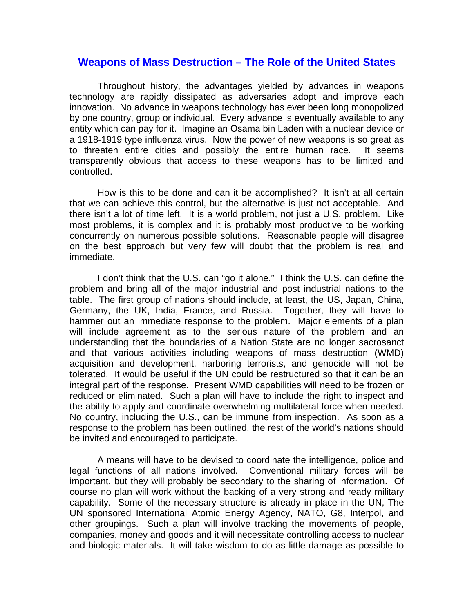## **Weapons of Mass Destruction – The Role of the United States**

Throughout history, the advantages yielded by advances in weapons technology are rapidly dissipated as adversaries adopt and improve each innovation. No advance in weapons technology has ever been long monopolized by one country, group or individual. Every advance is eventually available to any entity which can pay for it. Imagine an Osama bin Laden with a nuclear device or a 1918-1919 type influenza virus. Now the power of new weapons is so great as to threaten entire cities and possibly the entire human race. It seems transparently obvious that access to these weapons has to be limited and controlled.

 How is this to be done and can it be accomplished? It isn't at all certain that we can achieve this control, but the alternative is just not acceptable. And there isn't a lot of time left. It is a world problem, not just a U.S. problem. Like most problems, it is complex and it is probably most productive to be working concurrently on numerous possible solutions. Reasonable people will disagree on the best approach but very few will doubt that the problem is real and immediate.

 I don't think that the U.S. can "go it alone." I think the U.S. can define the problem and bring all of the major industrial and post industrial nations to the table. The first group of nations should include, at least, the US, Japan, China, Germany, the UK, India, France, and Russia. Together, they will have to hammer out an immediate response to the problem. Major elements of a plan will include agreement as to the serious nature of the problem and an understanding that the boundaries of a Nation State are no longer sacrosanct and that various activities including weapons of mass destruction (WMD) acquisition and development, harboring terrorists, and genocide will not be tolerated. It would be useful if the UN could be restructured so that it can be an integral part of the response. Present WMD capabilities will need to be frozen or reduced or eliminated. Such a plan will have to include the right to inspect and the ability to apply and coordinate overwhelming multilateral force when needed. No country, including the U.S., can be immune from inspection. As soon as a response to the problem has been outlined, the rest of the world's nations should be invited and encouraged to participate.

A means will have to be devised to coordinate the intelligence, police and legal functions of all nations involved. Conventional military forces will be important, but they will probably be secondary to the sharing of information. Of course no plan will work without the backing of a very strong and ready military capability. Some of the necessary structure is already in place in the UN, The UN sponsored International Atomic Energy Agency, NATO, G8, Interpol, and other groupings. Such a plan will involve tracking the movements of people, companies, money and goods and it will necessitate controlling access to nuclear and biologic materials. It will take wisdom to do as little damage as possible to